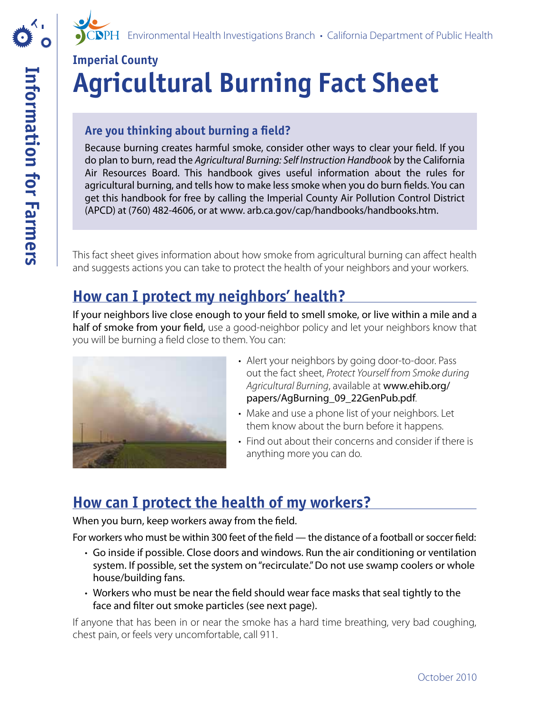

# **Imperial County Agricultural Burning Fact Sheet**

#### **Are you thinking about burning a feld?**

Because burning creates harmful smoke, consider other ways to clear your feld. If you do plan to burn, read the *Agricultural Burning: Self Instruction Handbook* by the California Air Resources Board. This handbook gives useful information about the rules for agricultural burning, and tells how to make less smoke when you do burn felds. You can get this handbook for free by calling the Imperial County Air Pollution Control District (APCD) at (760) 482-4606, or at www. arb.ca.gov/cap/handbooks/handbooks.htm.

This fact sheet gives information about how smoke from agricultural burning can afect health and suggests actions you can take to protect the health of your neighbors and your workers.

## **How can I protect my neighbors' health?**

If your neighbors live close enough to your feld to smell smoke, or live within a mile and a half of smoke from your field, use a good-neighbor policy and let your neighbors know that you will be burning a feld close to them. You can:



- Alert your neighbors by going door-to-door. Pass out the fact sheet, *Protect Yourself from Smoke during Agricultural Burning*, available at www.ehib.org/ papers/AgBurning\_09\_22GenPub.pdf*.*
- Make and use a phone list of your neighbors. Let them know about the burn before it happens.
- Find out about their concerns and consider if there is anything more you can do.

## **How can I protect the health of my workers?**

When you burn, keep workers away from the feld.

For workers who must be within 300 feet of the feld — the distance of a football or soccer feld:

- Go inside if possible. Close doors and windows. Run the air conditioning or ventilation system. If possible, set the system on "recirculate." Do not use swamp coolers or whole house/building fans.
- • Workers who must be near the feld should wear face masks that seal tightly to the face and flter out smoke particles (see next page).

If anyone that has been in or near the smoke has a hard time breathing, very bad coughing, chest pain, or feels very uncomfortable, call 911.